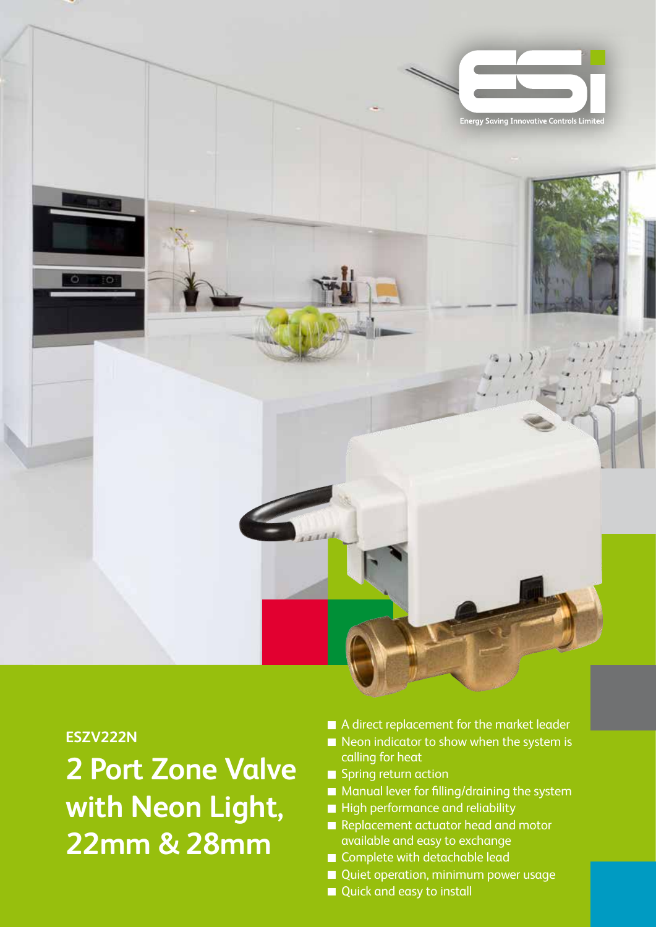

## **ESZV222N**

**2 Port Zone Valve with Neon Light, 22mm & 28mm**

- A direct replacement for the market leader
- $\blacksquare$  Neon indicator to show when the system is calling for heat
- Spring return action
- Manual lever for filling/draining the system
- High performance and reliability
- Replacement actuator head and motor available and easy to exchange
- Complete with detachable lead
- Quiet operation, minimum power usage
- Quick and easy to install